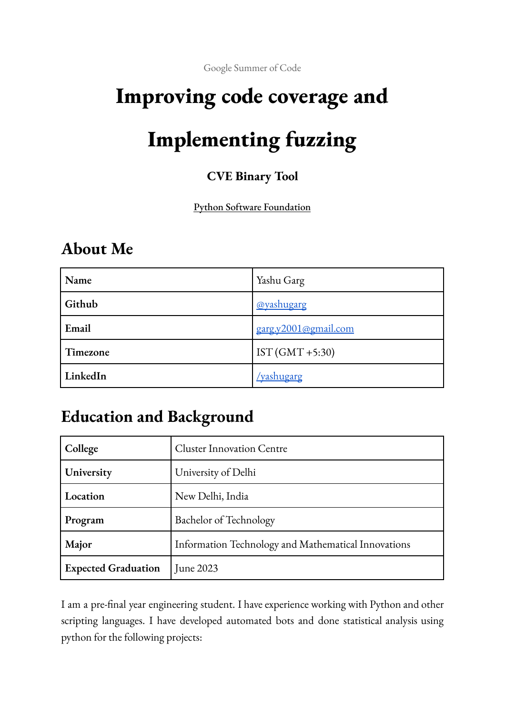Google Summer of Code

# **Improving code coverage and**

# **Implementing fuzzing**

#### **CVE Binary Tool**

#### Python Software Foundation

### **About Me**

| Name     | Yashu Garg           |
|----------|----------------------|
| Github   | @yashugarg           |
| Email    | garg.y2001@gmail.com |
| Timezone | IST $(GMT + 5:30)$   |
| LinkedIn | <u>/yashugarg</u>    |

### **Education and Background**

| College                    | <b>Cluster Innovation Centre</b>                    |
|----------------------------|-----------------------------------------------------|
| University                 | University of Delhi                                 |
| Location                   | New Delhi, India                                    |
| Program                    | Bachelor of Technology                              |
| Major                      | Information Technology and Mathematical Innovations |
| <b>Expected Graduation</b> | June 2023                                           |

I am a pre-final year engineering student. I have experience working with Python and other scripting languages. I have developed automated bots and done statistical analysis using python for the following projects: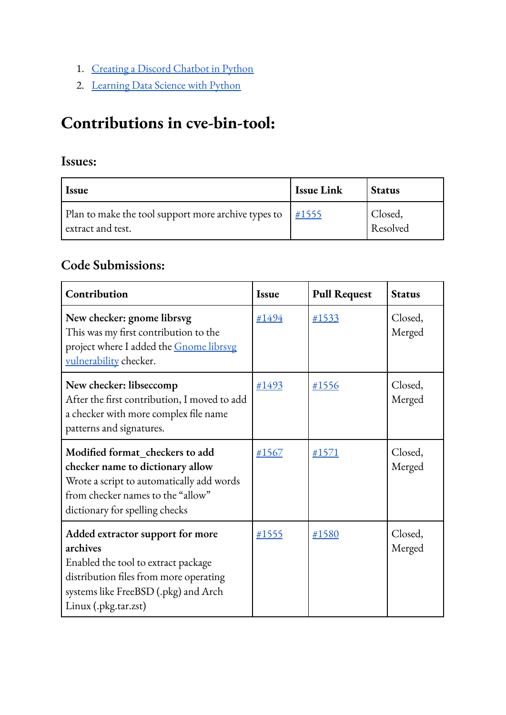- 1. [Creating](https://github.com/yashugarg/discordBot) a Discord Chatbot in Python
- 2. [Learning](https://github.com/yashugarg?tab=repositories&q=&type=&language=jupyter+notebook) Data Science with Python

### **Contributions in cve-bin-tool:**

#### **Issues:**

| <i>Issue</i>                                                             | Issue Link | <b>Status</b>       |
|--------------------------------------------------------------------------|------------|---------------------|
| Plan to make the tool support more archive types to<br>extract and test. | #1555      | Closed,<br>Resolved |

#### **Code Submissions:**

| Contribution                                                                                                                                                                                  | <b>Issue</b> | <b>Pull Request</b> | <b>Status</b>     |
|-----------------------------------------------------------------------------------------------------------------------------------------------------------------------------------------------|--------------|---------------------|-------------------|
| New checker: gnome librsvg<br>This was my first contribution to the<br>project where I added the Gnome librsvg<br>vulnerability checker.                                                      | #1494        | #1533               | Closed,<br>Merged |
| New checker: libseccomp<br>After the first contribution, I moved to add<br>a checker with more complex file name<br>patterns and signatures.                                                  | #1493        | #1556               | Closed,<br>Merged |
| Modified format_checkers to add<br>checker name to dictionary allow<br>Wrote a script to automatically add words<br>from checker names to the "allow"<br>dictionary for spelling checks       | #1567        | #1571               | Closed,<br>Merged |
| Added extractor support for more<br>archives<br>Enabled the tool to extract package<br>distribution files from more operating<br>systems like FreeBSD (.pkg) and Arch<br>Linux (.pkg.tar.zst) | #1555        | #1580               | Closed,<br>Merged |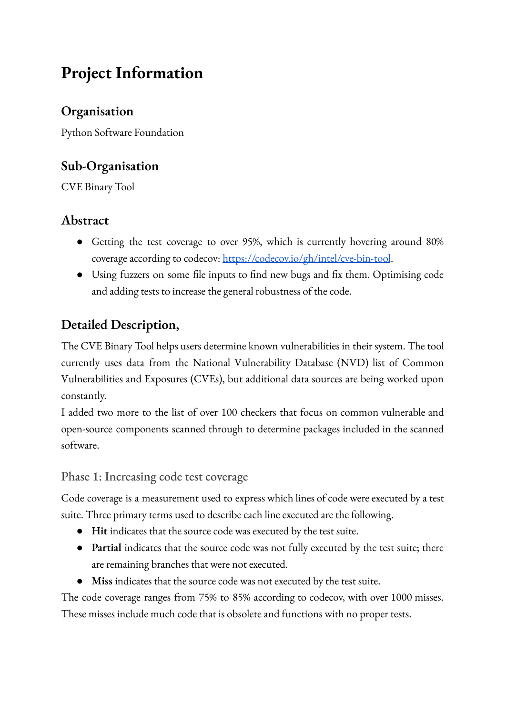### **Project Information**

#### **Organisation**

Python Software Foundation

#### **Sub-Organisation**

CVE Binary Tool

#### **Abstract**

- Getting the test coverage to over 95%, which is currently hovering around 80% coverage according to codecov: <https://codecov.io/gh/intel/cve-bin-tool>.
- Using fuzzers on some file inputs to find new bugs and fix them. Optimising code and adding tests to increase the general robustness of the code.

#### **Detailed Description,**

The CVE Binary Tool helps users determine known vulnerabilities in their system. The tool currently uses data from the National Vulnerability Database (NVD) list of Common Vulnerabilities and Exposures (CVEs), but additional data sources are being worked upon constantly.

I added two more to the list of over 100 checkers that focus on common vulnerable and open-source components scanned through to determine packages included in the scanned software.

Phase 1: Increasing code test coverage

Code coverage is a measurement used to express which lines of code were executed by a test suite. Three primary terms used to describe each line executed are the following.

- **Hit** indicates that the source code was executed by the test suite.
- **Partial** indicates that the source code was not fully executed by the test suite; there are remaining branches that were not executed.
- **Miss** indicates that the source code was not executed by the test suite.

The code coverage ranges from 75% to 85% according to codecov, with over 1000 misses. These misses include much code that is obsolete and functions with no proper tests.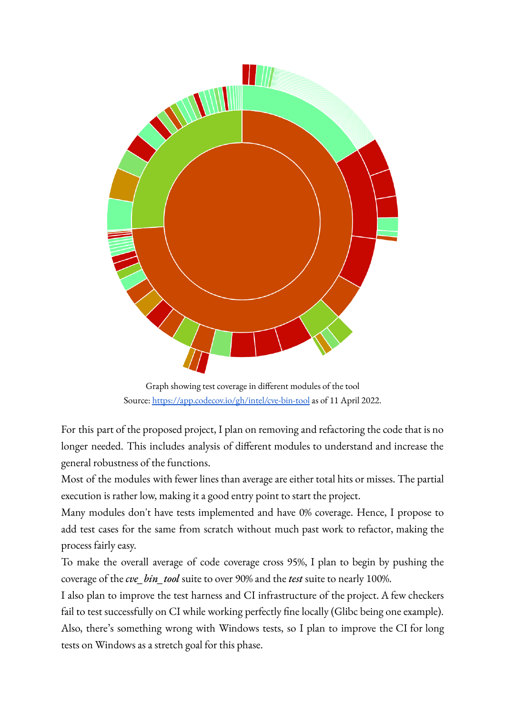

Graph showing test coverage in different modules of the tool Source: <https://app.codecov.io/gh/intel/cve-bin-tool> as of 11 April 2022.

For this part of the proposed project, I plan on removing and refactoring the code that is no longer needed. This includes analysis of different modules to understand and increase the general robustness of the functions.

Most of the modules with fewer lines than average are either total hits or misses. The partial execution is rather low, making it a good entry point to start the project.

Many modules don't have tests implemented and have 0% coverage. Hence, I propose to add test cases for the same from scratch without much past work to refactor, making the process fairly easy.

To make the overall average of code coverage cross 95%, I plan to begin by pushing the coverage of the *cve\_bin\_tool* suite to over 90% and the *test* suite to nearly 100%.

I also plan to improve the test harness and CI infrastructure of the project. A few checkers fail to test successfully on CI while working perfectly fine locally (Glibc being one example). Also, there's something wrong with Windows tests, so I plan to improve the CI for long tests on Windows as a stretch goal for this phase.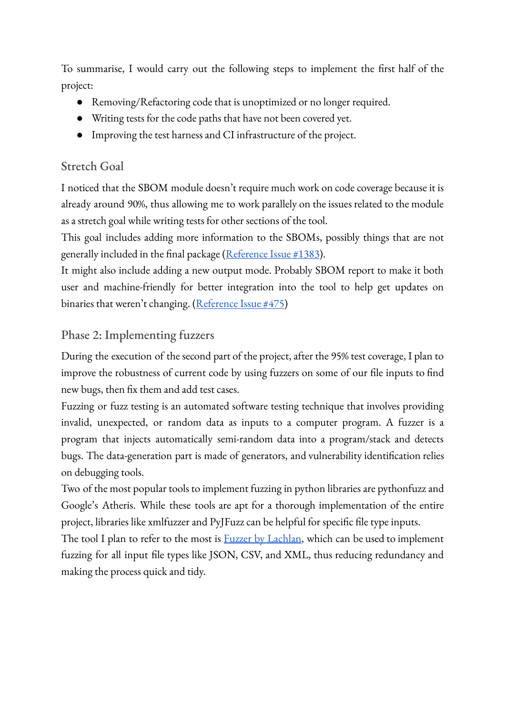To summarise, I would carry out the following steps to implement the first half of the project:

- Removing/Refactoring code that is unoptimized or no longer required.
- Writing tests for the code paths that have not been covered yet.
- Improving the test harness and CI infrastructure of the project.

#### Stretch Goal

I noticed that the SBOM module doesn't require much work on code coverage because it is already around 90%, thus allowing me to work parallely on the issues related to the module as a stretch goal while writing tests for other sections of the tool.

This goal includes adding more information to the SBOMs, possibly things that are not generally included in the final package ([Reference](https://github.com/intel/cve-bin-tool/issues/1383) Issue #1383).

It might also include adding a new output mode. Probably SBOM report to make it both user and machine-friendly for better integration into the tool to help get updates on binaries that weren't changing. ([Reference](https://github.com/intel/cve-bin-tool/issues/475) Issue #475)

#### Phase 2: Implementing fuzzers

During the execution of the second part of the project, after the 95% test coverage, I plan to improve the robustness of current code by using fuzzers on some of our file inputs to find new bugs, then fix them and add test cases.

Fuzzing or fuzz testing is an automated software testing technique that involves providing invalid, unexpected, or random data as inputs to a computer program. A fuzzer is a program that injects automatically semi-random data into a program/stack and detects bugs. The data-generation part is made of generators, and vulnerability identification relies on debugging tools.

Two of the most popular tools to implement fuzzing in python libraries are pythonfuzz and Google's Atheris. While these tools are apt for a thorough implementation of the entire project, libraries like xmlfuzzer and PyJFuzz can be helpful for specific file type inputs.

The tool I plan to refer to the most is **Fuzzer** by [Lachlan](https://github.com/lachlan-waugh/fuzzer), which can be used to implement fuzzing for all input file types like JSON, CSV, and XML, thus reducing redundancy and making the process quick and tidy.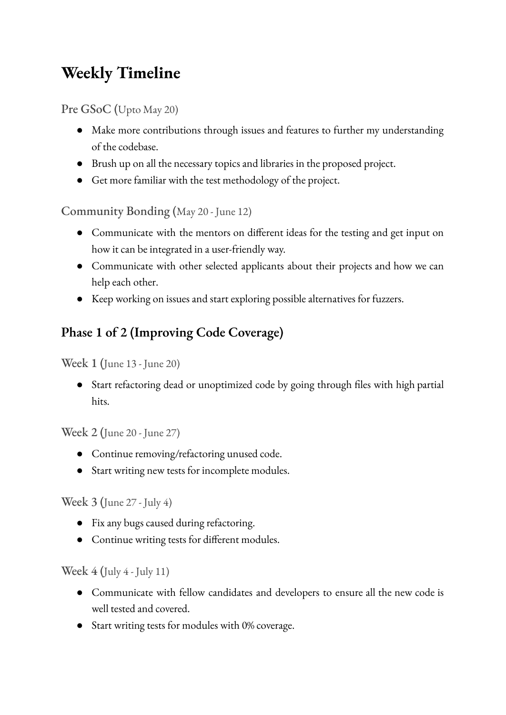# **Weekly Timeline**

Pre GSoC (Upto May 20)

- Make more contributions through issues and features to further my understanding of the codebase.
- Brush up on all the necessary topics and libraries in the proposed project.
- Get more familiar with the test methodology of the project.

Community Bonding (May 20 - June 12)

- Communicate with the mentors on different ideas for the testing and get input on how it can be integrated in a user-friendly way.
- Communicate with other selected applicants about their projects and how we can help each other.
- Keep working on issues and start exploring possible alternatives for fuzzers.

### **Phase 1 of 2 (Improving Code Coverage)**

Week 1 (June 13 - June 20)

● Start refactoring dead or unoptimized code by going through files with high partial hits.

Week 2 (June 20 - June 27)

- Continue removing/refactoring unused code.
- Start writing new tests for incomplete modules.

Week 3 (June 27 - July 4)

- Fix any bugs caused during refactoring.
- Continue writing tests for different modules.

Week  $4$  (July  $4$  - July 11)

- Communicate with fellow candidates and developers to ensure all the new code is well tested and covered.
- Start writing tests for modules with 0% coverage.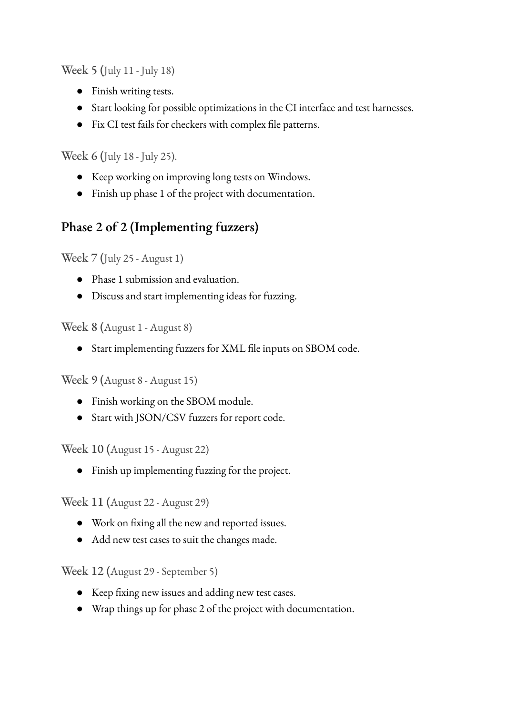Week 5 (July 11 - July 18)

- Finish writing tests.
- Start looking for possible optimizations in the CI interface and test harnesses.
- Fix CI test fails for checkers with complex file patterns.

Week 6 (July 18 - July 25).

- Keep working on improving long tests on Windows.
- Finish up phase 1 of the project with documentation.

#### **Phase 2 of 2 (Implementing fuzzers)**

Week 7 (July 25 - August 1)

- Phase 1 submission and evaluation.
- Discuss and start implementing ideas for fuzzing.

Week 8 (August 1 - August 8)

● Start implementing fuzzers for XML file inputs on SBOM code.

Week 9 (August 8 - August 15)

- Finish working on the SBOM module.
- Start with JSON/CSV fuzzers for report code.

Week 10 (August 15 - August 22)

● Finish up implementing fuzzing for the project.

Week 11 (August 22 - August 29)

- Work on fixing all the new and reported issues.
- Add new test cases to suit the changes made.

Week 12 (August 29 - September 5)

- Keep fixing new issues and adding new test cases.
- Wrap things up for phase 2 of the project with documentation.